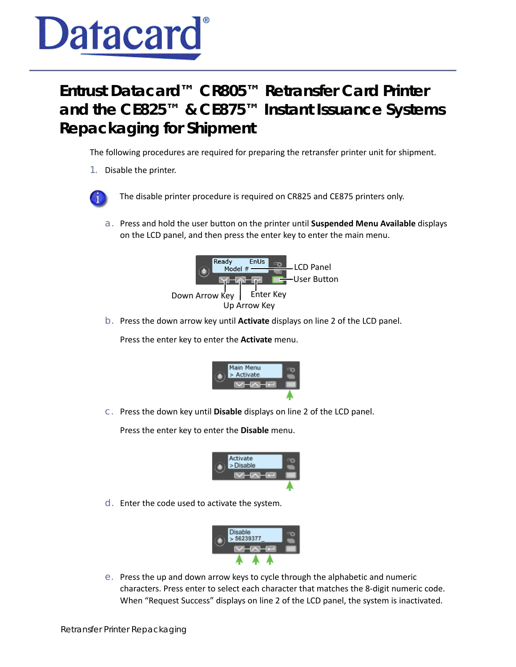

## **Entrust Datacard™ CR805™ Retransfer Card Printer and the CE825™ & CE875™ Instant Issuance Systems Repackaging for Shipment**

The following procedures are required for preparing the retransfer printer unit for shipment.

- 1. Disable the printer.
- 

The disable printer procedure is required on CR825 and CE875 printers only.

a. Press and hold the user button on the printer until **Suspended Menu Available** displays on the LCD panel, and then press the enter key to enter the main menu.



b. Press the down arrow key until **Activate** displays on line 2 of the LCD panel.

Press the enter key to enter the **Activate** menu.



c. Press the down key until **Disable** displays on line 2 of the LCD panel.

Press the enter key to enter the **Disable** menu.



d. Enter the code used to activate the system.



e. Press the up and down arrow keys to cycle through the alphabetic and numeric characters. Press enter to select each character that matches the 8-digit numeric code. When "Request Success" displays on line 2 of the LCD panel, the system is inactivated.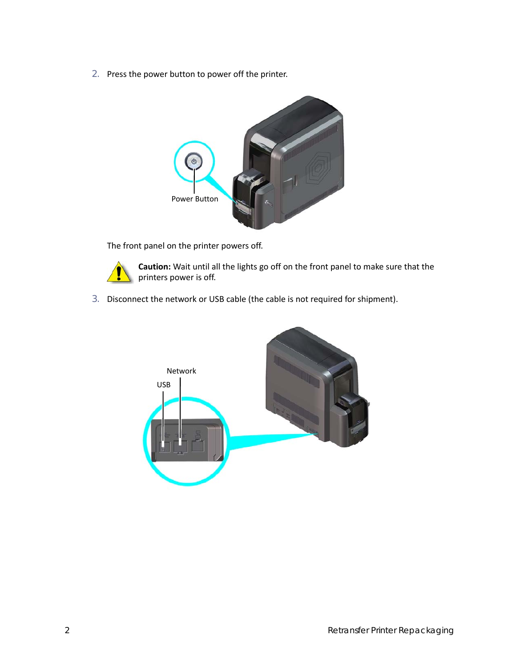2. Press the power button to power off the printer.



The front panel on the printer powers off.



**Caution:** Wait until all the lights go off on the front panel to make sure that the printers power is off.

3. Disconnect the network or USB cable (the cable is not required for shipment).

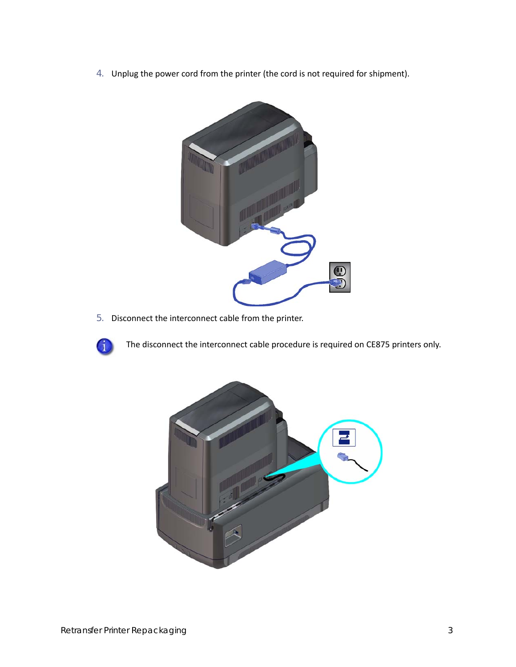4. Unplug the power cord from the printer (the cord is not required for shipment).



5. Disconnect the interconnect cable from the printer.



The disconnect the interconnect cable procedure is required on CE875 printers only.

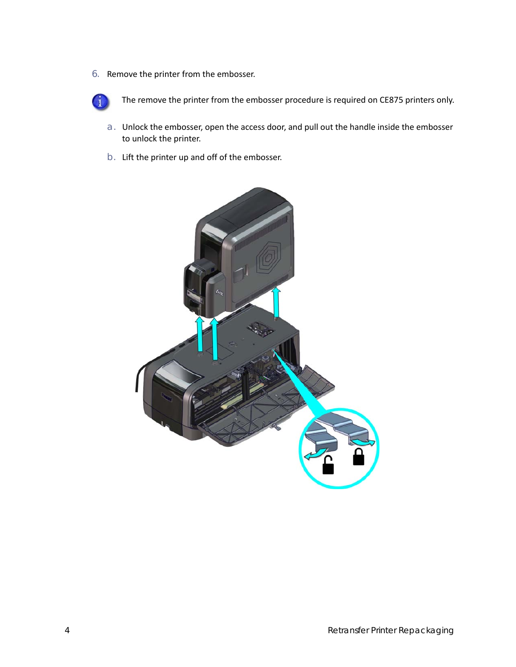6. Remove the printer from the embosser.



The remove the printer from the embosser procedure is required on CE875 printers only.

- a. Unlock the embosser, open the access door, and pull out the handle inside the embosser to unlock the printer.
- b. Lift the printer up and off of the embosser.

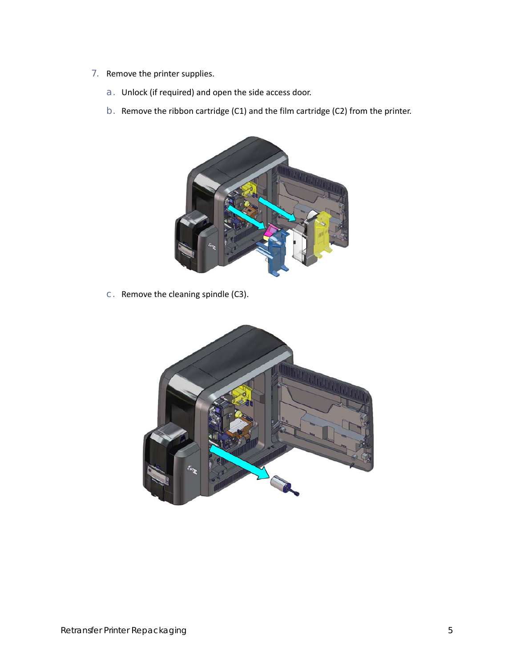- 7. Remove the printer supplies.
	- a. Unlock (if required) and open the side access door.
	- b. Remove the ribbon cartridge (C1) and the film cartridge (C2) from the printer.



c. Remove the cleaning spindle (C3).

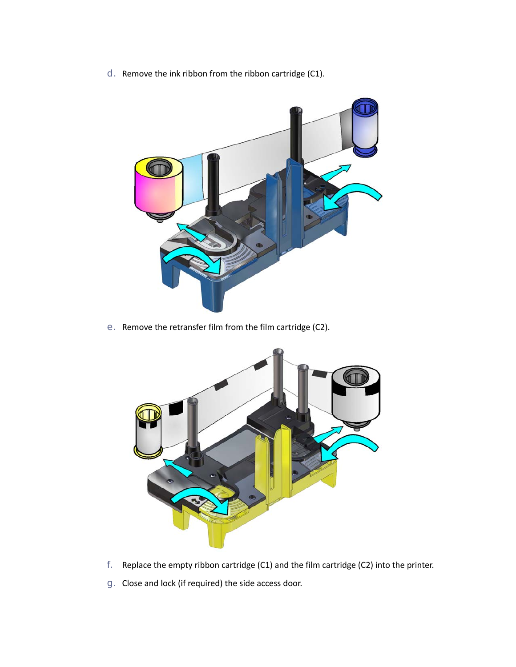d. Remove the ink ribbon from the ribbon cartridge (C1).



e. Remove the retransfer film from the film cartridge (C2).



- f. Replace the empty ribbon cartridge (C1) and the film cartridge (C2) into the printer.
- g. Close and lock (if required) the side access door.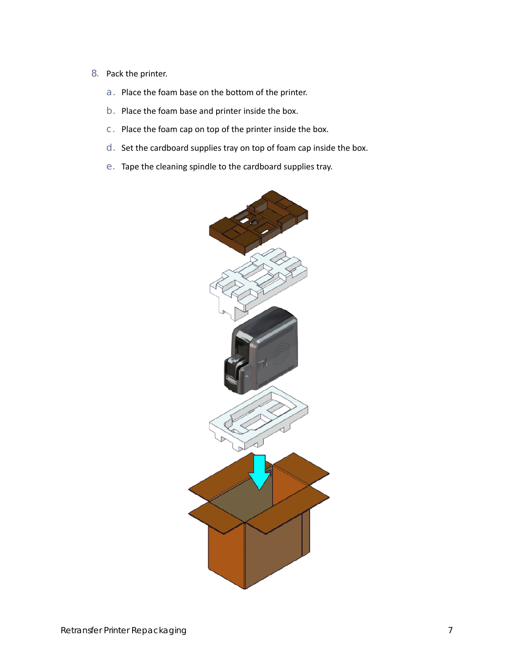- 8. Pack the printer.
	- a. Place the foam base on the bottom of the printer.
	- b. Place the foam base and printer inside the box.
	- c. Place the foam cap on top of the printer inside the box.
	- d. Set the cardboard supplies tray on top of foam cap inside the box.
	- e. Tape the cleaning spindle to the cardboard supplies tray.